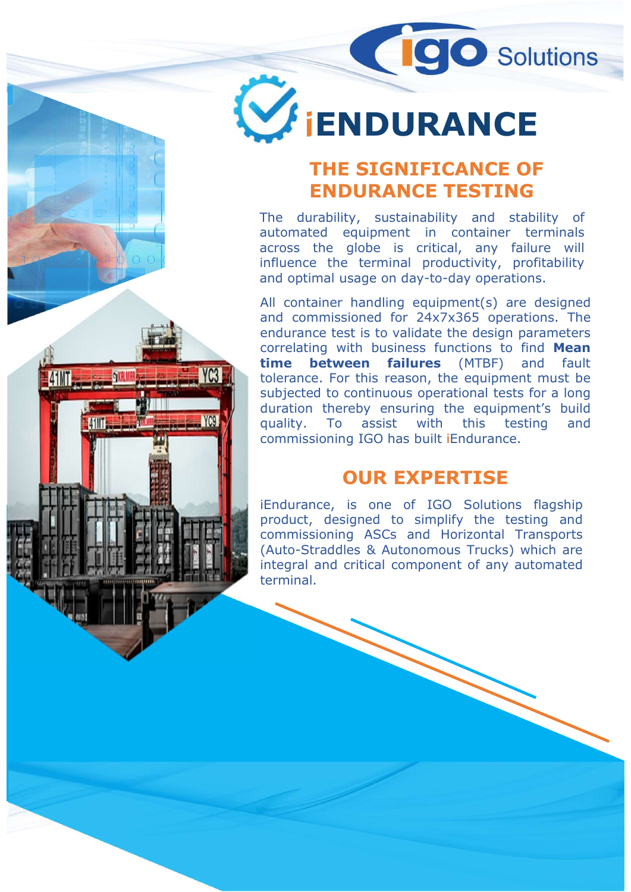# **WENDURANCE**

## THE SIGNIFICANCE OF ENDURANCE TESTING

THE SIGNIFICANCE<br>
THE SIGNIFICANCE<br>
THE SIGNIFICANCE OF<br>
ENDURANCE TESTING<br>
The durability, sustainability and stability of<br>
automated equipment in container terminals<br>
influence the terminal productivity, profitability<br>
i **ENDURANCE**<br> **ENDURANCE**<br> **ENDURANCE**<br> **ENDURANCE TESTING**<br>
The durability, sustainability and stability of<br>
automated equipment in container terminals<br>
influence the terminal productivity, profitability<br>
and optimal usage **ENDURANCE**<br> **ENDURANCE**<br> **ENDURANCE TESTING**<br>
The durability, sustainability and stability of<br>
automated equipment in container terminals<br>
across the globe is critical, any failure will<br>
influence the terminal productivit **ENDURANCE**<br> **IENDURANCE**<br> **IENDURANCE TESTING**<br>
THE SIGNIFICANCE OF<br>
ENDURANCE TESTING<br>
The durability, sustainability and stability of<br>
nautomated equipment in container terminals<br>
across the globe is critical, any failu **ENDURANCE**<br> **ENDURANCE**<br> **ENDURANCE TESTING**<br>
THE SIGNIFICANCE OF<br> **ENDURANCE TESTING**<br>
The durability, sustainability and stability of<br>
automated equipment in container terminals<br>
across the globe is critical, any failur **ENDURANCE**<br> **ENDURANCE**<br> **ENDURANCE TESTING**<br>
The durability, sustainability and stability of<br>
The durability, sustainability and stability of<br>
across the globe is critical, any failure terminals<br>
across the globe is crit

**ENDURANCE**<br> **ENDURANCE**<br> **THE SIGNIFICANCE OF**<br> **ENDURANCE TESTING**<br>
The durability, sustainability and stability of<br>
automated equipment in container terminals<br>
across the globe is critical, any failure will<br>
influence t **ENDURANCE**<br> **ENDURANCE THE SIGNIFICANCE OF**<br> **ENDURANCE TESTING**<br>
The durability, sustainability and stability of<br>
automated equipment in container terminals<br>
across the globe is critical, any failure will<br>
influence the **ENDURANCE**<br> **ENDURANCE TESTING**<br>
The durability, sustainability and stability of<br>
nautomated equipment in container terminals<br>
across the globe is critical, any failure will<br>
influence the terminal productivity, profitabi **THE SIGNIFICANCE OF**<br> **ENDURANCE TESTING**<br>
The durability, sustainability and stability of<br>
automated equipment in container terminals<br>
across the globe is critical, any failure will<br>
influence the terminal productivity, **ENDURANCE TESTING**<br> **ENDURANCE TESTING**<br>
The durability, sustainability and stability of<br>
automated equipment in container terminals<br>
across the globe is critical, any failure will<br>
influence the terminal productivity, pr **SUBJECT THE SIGNIFICANCE OF ENDURANCE TESTING**<br>The durability, sustainability and stability of automated equipment in container terminals across the globe is critical, any failure will implience the terminal productivity, **THE SIGNIFICANCE OF**<br> **ENDURANCE TESTING**<br>
The durability, sustainability and stability of<br>
automated equipment in container terminals<br>
across the globe is critical, any failure will<br>
influence the terminal productivity, **THE SIGNIFICANCE OF**<br> **ENDURANCE TESTING**<br>
The durability, sustainability and stability of<br>
nautomated equipment in container terminals<br>
across the globe is critical, any failure will<br>
influence the terminal productivity, **THE SIGNIFICANCE OF**<br> **ENDURANCE TESTING**<br>
The durability, sustainability and stability of<br>
across the globe is critical, any failure terminals<br>
across the globe is critical, any failure will<br>
influence the terminal produ automated equipment in container terminals<br>across the globe is critical, any failure will<br>influence the terminal productivity, profitability<br>and optimal usage on day-to-day operations.<br>All container handling equipment(s) a across the globe is critical, any failure will<br>influence the terminal productivity, profitability<br>and optimal usage on day-to-day operations.<br>All container handling equipment(s) are designed<br>and commissioned for 24x7x365 o influence the terminal productivity, profitability<br>and optimal usage on day-to-day operations.<br>All container handling equipment(s) are designed<br>and commissioned for  $24x7x365$  operations. The<br>endurance test is to validate and optimal usage on day-to-day operations.<br>
All container handling equipment(s) are designed<br>
and commissioned for 24x7x365 operations. The<br>
endurance test is to validate the design parameters<br>
correlating with business f All container handling equipment(s) are designed<br>and commissioned for 24x7x365 operations. The<br>endurance test is to validate the design parameters<br>correlating with business functions to find **Mean**<br>time **between failures**

**41NT** 

**YC9** 

#### OUR EXPERTISE

terminal.